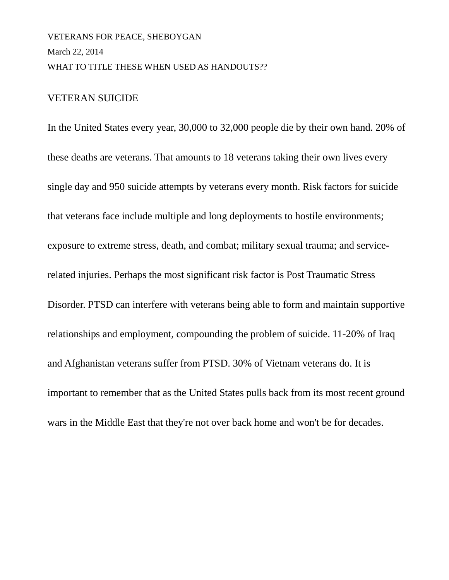# VETERANS FOR PEACE, SHEBOYGAN March 22, 2014 WHAT TO TITLE THESE WHEN USED AS HANDOUTS??

## VETERAN SUICIDE

In the United States every year, 30,000 to 32,000 people die by their own hand. 20% of these deaths are veterans. That amounts to 18 veterans taking their own lives every single day and 950 suicide attempts by veterans every month. Risk factors for suicide that veterans face include multiple and long deployments to hostile environments; exposure to extreme stress, death, and combat; military sexual trauma; and servicerelated injuries. Perhaps the most significant risk factor is Post Traumatic Stress Disorder. PTSD can interfere with veterans being able to form and maintain supportive relationships and employment, compounding the problem of suicide. 11-20% of Iraq and Afghanistan veterans suffer from PTSD. 30% of Vietnam veterans do. It is important to remember that as the United States pulls back from its most recent ground wars in the Middle East that they're not over back home and won't be for decades.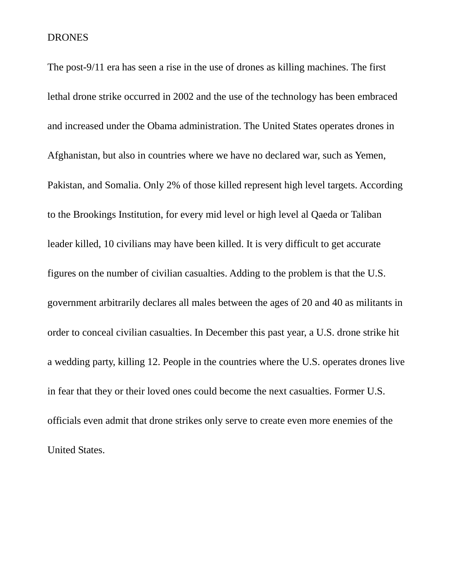#### DRONES

The post-9/11 era has seen a rise in the use of drones as killing machines. The first lethal drone strike occurred in 2002 and the use of the technology has been embraced and increased under the Obama administration. The United States operates drones in Afghanistan, but also in countries where we have no declared war, such as Yemen, Pakistan, and Somalia. Only 2% of those killed represent high level targets. According to the Brookings Institution, for every mid level or high level al Qaeda or Taliban leader killed, 10 civilians may have been killed. It is very difficult to get accurate figures on the number of civilian casualties. Adding to the problem is that the U.S. government arbitrarily declares all males between the ages of 20 and 40 as militants in order to conceal civilian casualties. In December this past year, a U.S. drone strike hit a wedding party, killing 12. People in the countries where the U.S. operates drones live in fear that they or their loved ones could become the next casualties. Former U.S. officials even admit that drone strikes only serve to create even more enemies of the United States.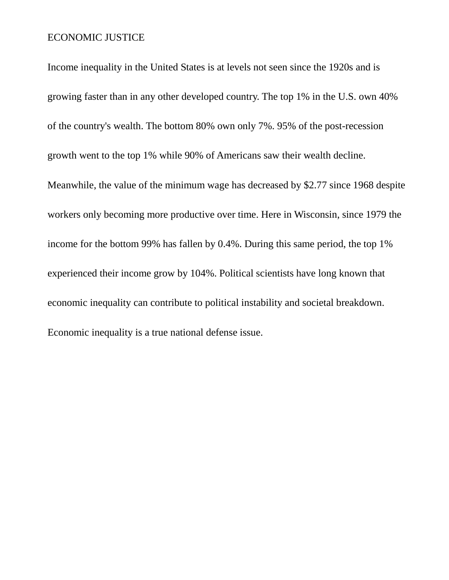## ECONOMIC JUSTICE

Income inequality in the United States is at levels not seen since the 1920s and is growing faster than in any other developed country. The top 1% in the U.S. own 40% of the country's wealth. The bottom 80% own only 7%. 95% of the post-recession growth went to the top 1% while 90% of Americans saw their wealth decline. Meanwhile, the value of the minimum wage has decreased by \$2.77 since 1968 despite workers only becoming more productive over time. Here in Wisconsin, since 1979 the income for the bottom 99% has fallen by 0.4%. During this same period, the top 1% experienced their income grow by 104%. Political scientists have long known that economic inequality can contribute to political instability and societal breakdown. Economic inequality is a true national defense issue.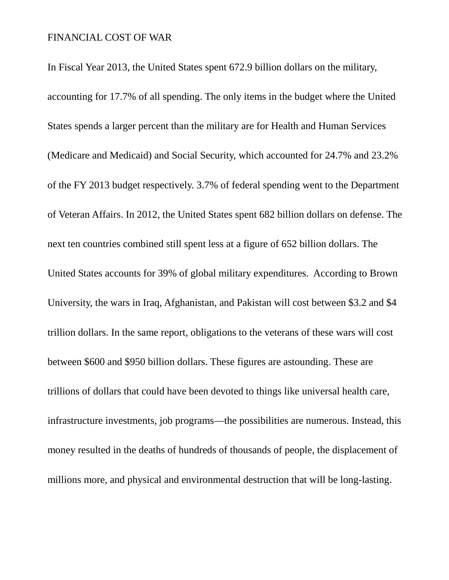### FINANCIAL COST OF WAR

In Fiscal Year 2013, the United States spent 672.9 billion dollars on the military, accounting for 17.7% of all spending. The only items in the budget where the United States spends a larger percent than the military are for Health and Human Services (Medicare and Medicaid) and Social Security, which accounted for 24.7% and 23.2% of the FY 2013 budget respectively. 3.7% of federal spending went to the Department of Veteran Affairs. In 2012, the United States spent 682 billion dollars on defense. The next ten countries combined still spent less at a figure of 652 billion dollars. The United States accounts for 39% of global military expenditures. According to Brown University, the wars in Iraq, Afghanistan, and Pakistan will cost between \$3.2 and \$4 trillion dollars. In the same report, obligations to the veterans of these wars will cost between \$600 and \$950 billion dollars. These figures are astounding. These are trillions of dollars that could have been devoted to things like universal health care, infrastructure investments, job programs—the possibilities are numerous. Instead, this money resulted in the deaths of hundreds of thousands of people, the displacement of millions more, and physical and environmental destruction that will be long-lasting.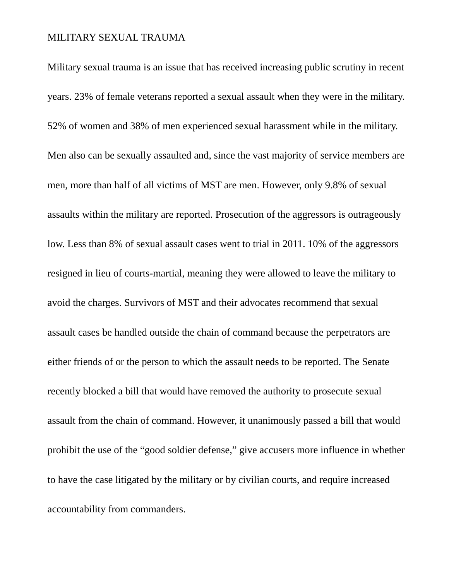### MILITARY SEXUAL TRAUMA

Military sexual trauma is an issue that has received increasing public scrutiny in recent years. 23% of female veterans reported a sexual assault when they were in the military. 52% of women and 38% of men experienced sexual harassment while in the military. Men also can be sexually assaulted and, since the vast majority of service members are men, more than half of all victims of MST are men. However, only 9.8% of sexual assaults within the military are reported. Prosecution of the aggressors is outrageously low. Less than 8% of sexual assault cases went to trial in 2011. 10% of the aggressors resigned in lieu of courts-martial, meaning they were allowed to leave the military to avoid the charges. Survivors of MST and their advocates recommend that sexual assault cases be handled outside the chain of command because the perpetrators are either friends of or the person to which the assault needs to be reported. The Senate recently blocked a bill that would have removed the authority to prosecute sexual assault from the chain of command. However, it unanimously passed a bill that would prohibit the use of the "good soldier defense," give accusers more influence in whether to have the case litigated by the military or by civilian courts, and require increased accountability from commanders.